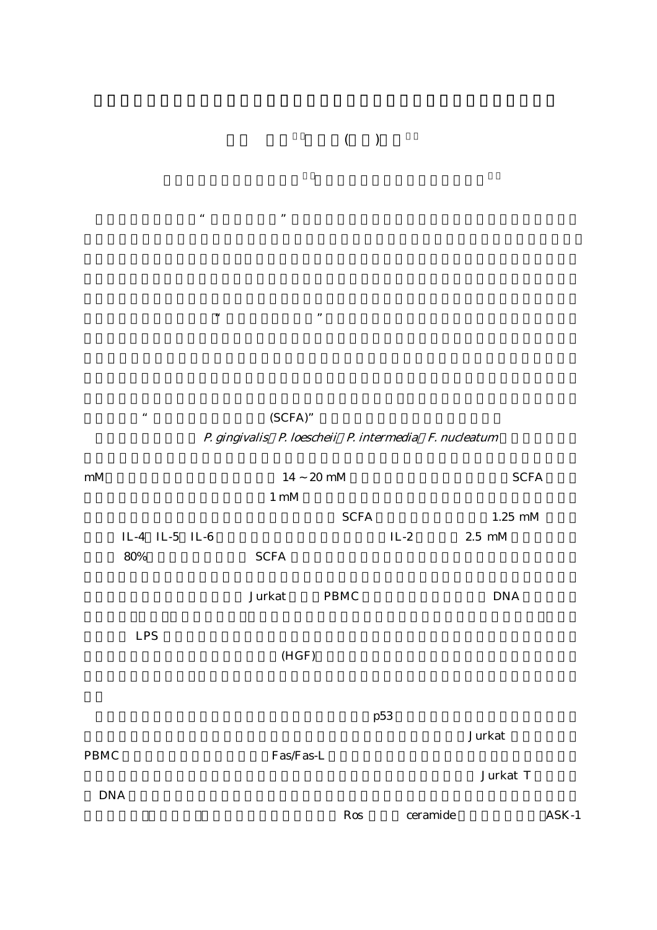| $(SCFA)$ " |                                                                                                     |  |  |
|------------|-----------------------------------------------------------------------------------------------------|--|--|
|            | $\mathbf{D}$ and the $\mathbf{D}$ leads of $\mathbf{D}$ is the set of $\mathbf{E}$ and $\mathbf{L}$ |  |  |



P. gingivalis P. loescheii P. intermedia F. nucleatum

口腔の代表的感染症"う蝕と歯周病"は、デンタルプラークに棲息する細菌によって引き起こ

 $\alpha$  , we have the system of  $\beta$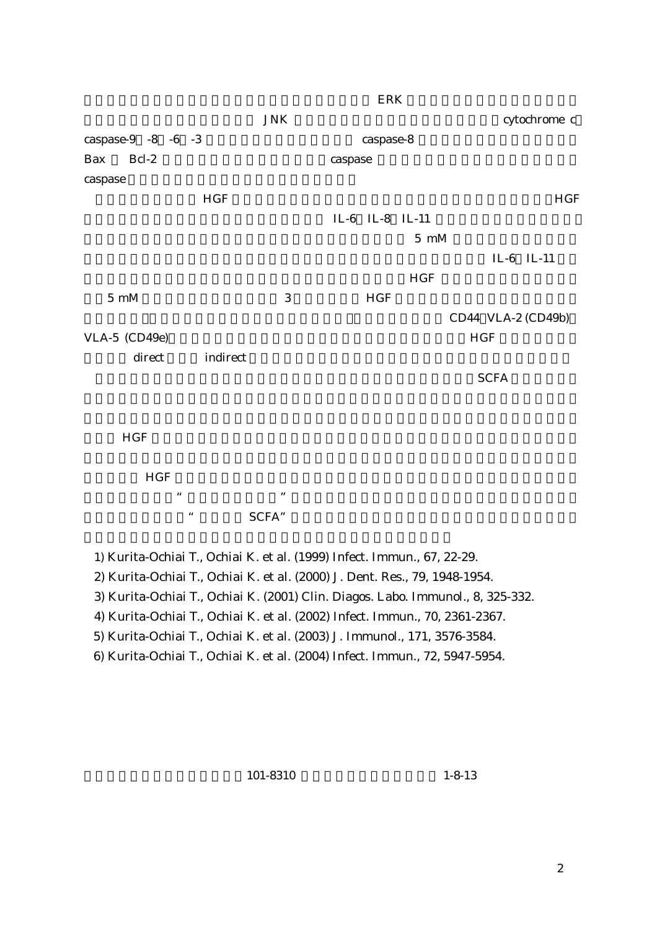$\rm ERK$ ークストラン酸化 INK cytochrome c  $\alpha$ spase-9 -8 -6 -3  $\alpha$ spase-8  $\alpha$ Bax Bcl-2 caspase caspase caspase  $HGF$ IL-6 IL-8 IL-11  $5 \text{ mM}$ IL-6 IL-11 細胞アポトーシス誘導阻害効果が強いことが判明した。また、HGF シートを用いた共存培養で  $5 \text{ mM}$  and  $3 \text{ HGF}$ CD44 VLA-2 (CD49b)  $VLA-5$   $(CD49e)$  HGF direct indirect こんじょう indirect にほんしゃ はんしゃ はんしん はんしゃ はんしゅう はんしゅう はんしゅう はんしゅう はんしゃ はんしゅう はんしゅう はんしょく はんしゃ はんしゃ はんしゃ  $SCFA$ 上皮や HGF が酪酸の侵入、およびその為害作用からT細胞を保護し、局所免疫応答維持に寄与  $HGF$  $\mathfrak{m}$  $\blacksquare$ 

1) Kurita-Ochiai T., Ochiai K. et al. (1999) Infect. Immun., 67, 22-29.

2) Kurita-Ochiai T., Ochiai K. et al. (2000) J. Dent. Res., 79, 1948-1954.

3) Kurita-Ochiai T., Ochiai K. (2001) Clin. Diagos. Labo. Immunol., 8, 325-332.

4) Kurita-Ochiai T., Ochiai K. et al. (2002) Infect. Immun., 70, 2361-2367.

5) Kurita-Ochiai T., Ochiai K. et al. (2003) J. Immunol., 171, 3576-3584.

6) Kurita-Ochiai T., Ochiai K. et al. (2004) Infect. Immun., 72, 5947-5954.

101-8310 1-8-13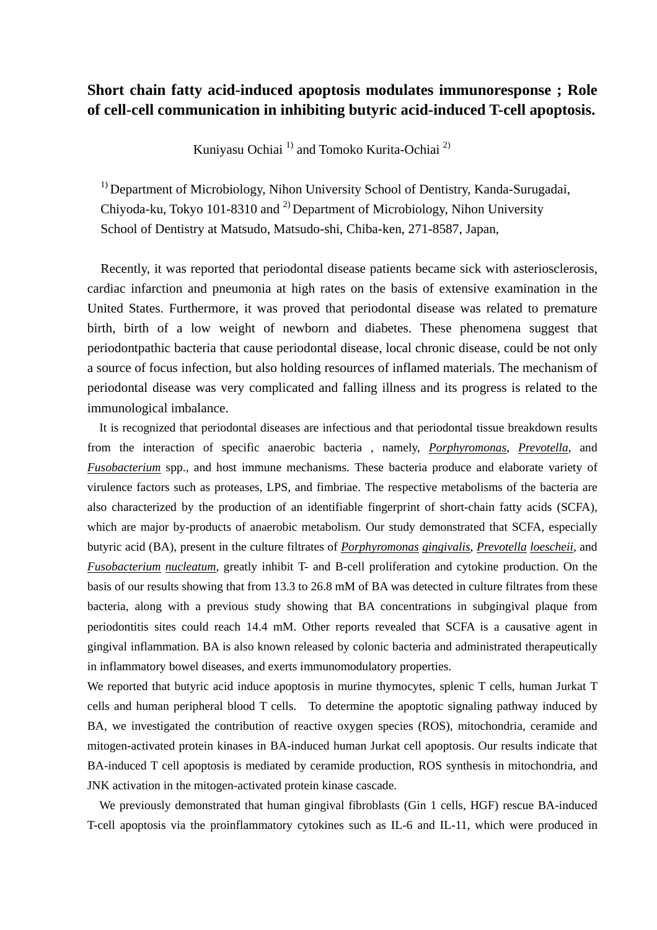## **Short chain fatty acid-induced apoptosis modulates immunoresponse ; Role of cell-cell communication in inhibiting butyric acid-induced T-cell apoptosis.**

Kuniyasu Ochiai<sup>1)</sup> and Tomoko Kurita-Ochiai<sup>2)</sup>

<sup>1)</sup> Department of Microbiology, Nihon University School of Dentistry, Kanda-Surugadai, Chiyoda-ku, Tokyo 101-8310 and  $^{2}$  Department of Microbiology, Nihon University School of Dentistry at Matsudo, Matsudo-shi, Chiba-ken, 271-8587, Japan,

Recently, it was reported that periodontal disease patients became sick with asteriosclerosis, cardiac infarction and pneumonia at high rates on the basis of extensive examination in the United States. Furthermore, it was proved that periodontal disease was related to premature birth, birth of a low weight of newborn and diabetes. These phenomena suggest that periodontpathic bacteria that cause periodontal disease, local chronic disease, could be not only a source of focus infection, but also holding resources of inflamed materials. The mechanism of periodontal disease was very complicated and falling illness and its progress is related to the immunological imbalance.

It is recognized that periodontal diseases are infectious and that periodontal tissue breakdown results from the interaction of specific anaerobic bacteria , namely, *Porphyromonas*, *Prevotella*, and *Fusobacterium* spp., and host immune mechanisms. These bacteria produce and elaborate variety of virulence factors such as proteases, LPS, and fimbriae. The respective metabolisms of the bacteria are also characterized by the production of an identifiable fingerprint of short-chain fatty acids (SCFA), which are major by-products of anaerobic metabolism. Our study demonstrated that SCFA, especially butyric acid (BA), present in the culture filtrates of *Porphyromonas gingivalis*, *Prevotella loescheii*, and *Fusobacterium nucleatum*, greatly inhibit T- and B-cell proliferation and cytokine production. On the basis of our results showing that from 13.3 to 26.8 mM of BA was detected in culture filtrates from these bacteria, along with a previous study showing that BA concentrations in subgingival plaque from periodontitis sites could reach 14.4 mM. Other reports revealed that SCFA is a causative agent in gingival inflammation. BA is also known released by colonic bacteria and administrated therapeutically in inflammatory bowel diseases, and exerts immunomodulatory properties.

We reported that butyric acid induce apoptosis in murine thymocytes, splenic T cells, human Jurkat T cells and human peripheral blood T cells. To determine the apoptotic signaling pathway induced by BA, we investigated the contribution of reactive oxygen species (ROS), mitochondria, ceramide and mitogen-activated protein kinases in BA-induced human Jurkat cell apoptosis. Our results indicate that BA-induced T cell apoptosis is mediated by ceramide production, ROS synthesis in mitochondria, and JNK activation in the mitogen-activated protein kinase cascade.

We previously demonstrated that human gingival fibroblasts (Gin 1 cells, HGF) rescue BA-induced T-cell apoptosis via the proinflammatory cytokines such as IL-6 and IL-11, which were produced in